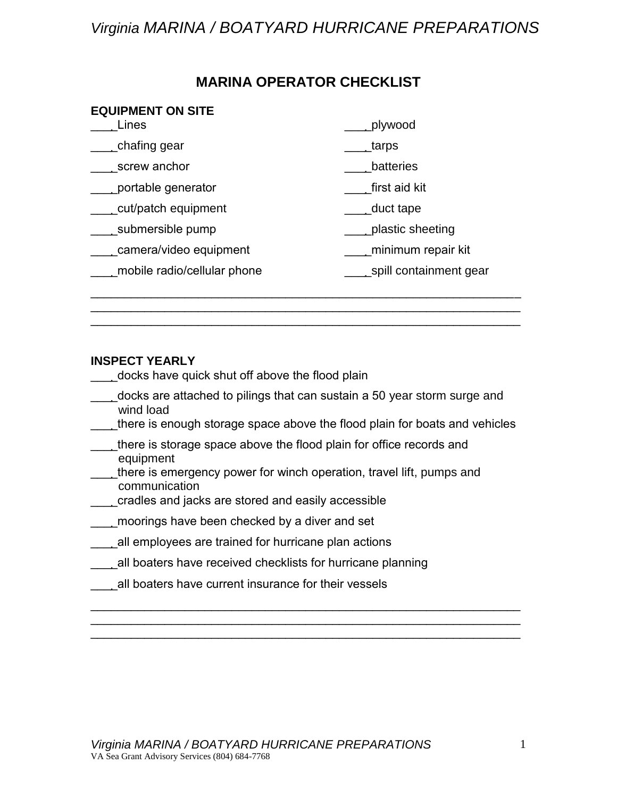## *Virginia MARINA / BOATYARD HURRICANE PREPARATIONS*

### **MARINA OPERATOR CHECKLIST**

| Lines                       | plywood                |
|-----------------------------|------------------------|
| chafing gear <sub>-</sub>   | tarps                  |
| screw anchor                | batteries              |
| portable generator          | first aid kit          |
| cut/patch equipment         | duct tape              |
| submersible pump            | plastic sheeting       |
| camera/video equipment      | minimum repair kit     |
| mobile radio/cellular phone | spill containment gear |

### **INSPECT YEARLY**

\_\_\_\_docks have quick shut off above the flood plain

- \_\_\_\_docks are attached to pilings that can sustain a 50 year storm surge and wind load
- \_\_\_\_there is enough storage space above the flood plain for boats and vehicles

\_\_\_\_\_\_\_\_\_\_\_\_\_\_\_\_\_\_\_\_\_\_\_\_\_\_\_\_\_\_\_\_\_\_\_\_\_\_\_\_\_\_\_\_\_\_\_\_\_\_\_\_\_\_\_\_\_\_\_\_\_\_\_\_ \_\_\_\_\_\_\_\_\_\_\_\_\_\_\_\_\_\_\_\_\_\_\_\_\_\_\_\_\_\_\_\_\_\_\_\_\_\_\_\_\_\_\_\_\_\_\_\_\_\_\_\_\_\_\_\_\_\_\_\_\_\_\_\_ \_\_\_\_\_\_\_\_\_\_\_\_\_\_\_\_\_\_\_\_\_\_\_\_\_\_\_\_\_\_\_\_\_\_\_\_\_\_\_\_\_\_\_\_\_\_\_\_\_\_\_\_\_\_\_\_\_\_\_\_\_\_\_\_

\_\_\_\_\_\_\_\_\_\_\_\_\_\_\_\_\_\_\_\_\_\_\_\_\_\_\_\_\_\_\_\_\_\_\_\_\_\_\_\_\_\_\_\_\_\_\_\_\_\_\_\_\_\_\_\_\_\_\_\_\_\_\_\_

- \_\_\_\_there is storage space above the flood plain for office records and equipment
- \_\_\_\_there is emergency power for winch operation, travel lift, pumps and communication
- cradles and jacks are stored and easily accessible
- \_\_\_\_moorings have been checked by a diver and set
- **1.** All employees are trained for hurricane plan actions
- \_\_\_\_all boaters have received checklists for hurricane planning
- all boaters have current insurance for their vessels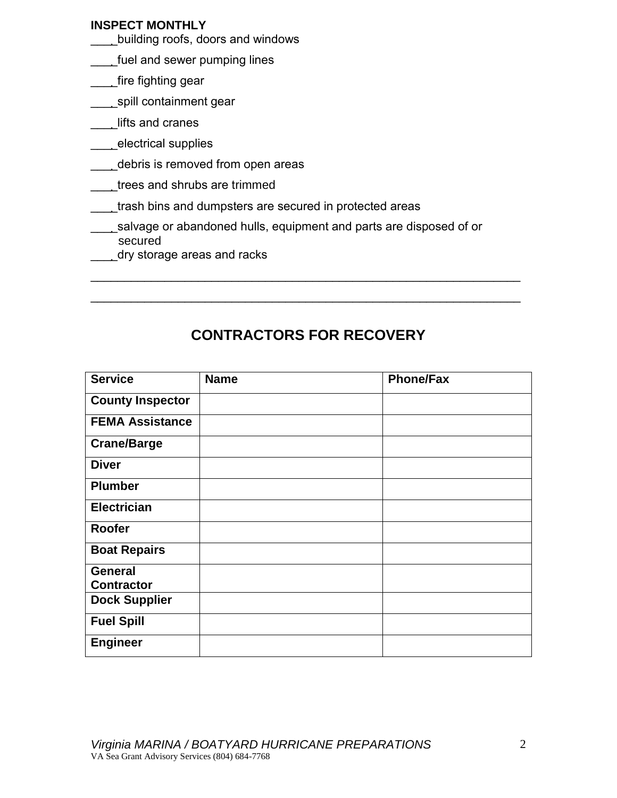### **INSPECT MONTHLY**

- \_\_\_\_building roofs, doors and windows
- **\_\_\_\_fuel and sewer pumping lines**
- \_\_\_\_fire fighting gear
- \_\_\_\_\_spill containment gear
- \_\_\_\_lifts and cranes
- \_\_\_\_electrical supplies
- \_\_\_\_debris is removed from open areas
- trees and shrubs are trimmed
- \_\_\_\_trash bins and dumpsters are secured in protected areas
- salvage or abandoned hulls, equipment and parts are disposed of or secured
- dry storage areas and racks

## **CONTRACTORS FOR RECOVERY**

\_\_\_\_\_\_\_\_\_\_\_\_\_\_\_\_\_\_\_\_\_\_\_\_\_\_\_\_\_\_\_\_\_\_\_\_\_\_\_\_\_\_\_\_\_\_\_\_\_\_\_\_\_\_\_\_\_\_\_\_\_\_\_\_

\_\_\_\_\_\_\_\_\_\_\_\_\_\_\_\_\_\_\_\_\_\_\_\_\_\_\_\_\_\_\_\_\_\_\_\_\_\_\_\_\_\_\_\_\_\_\_\_\_\_\_\_\_\_\_\_\_\_\_\_\_\_\_\_

| <b>Service</b>          | <b>Name</b> | <b>Phone/Fax</b> |
|-------------------------|-------------|------------------|
| <b>County Inspector</b> |             |                  |
| <b>FEMA Assistance</b>  |             |                  |
| <b>Crane/Barge</b>      |             |                  |
| <b>Diver</b>            |             |                  |
| <b>Plumber</b>          |             |                  |
| <b>Electrician</b>      |             |                  |
| Roofer                  |             |                  |
| <b>Boat Repairs</b>     |             |                  |
| <b>General</b>          |             |                  |
| <b>Contractor</b>       |             |                  |
| <b>Dock Supplier</b>    |             |                  |
| <b>Fuel Spill</b>       |             |                  |
| <b>Engineer</b>         |             |                  |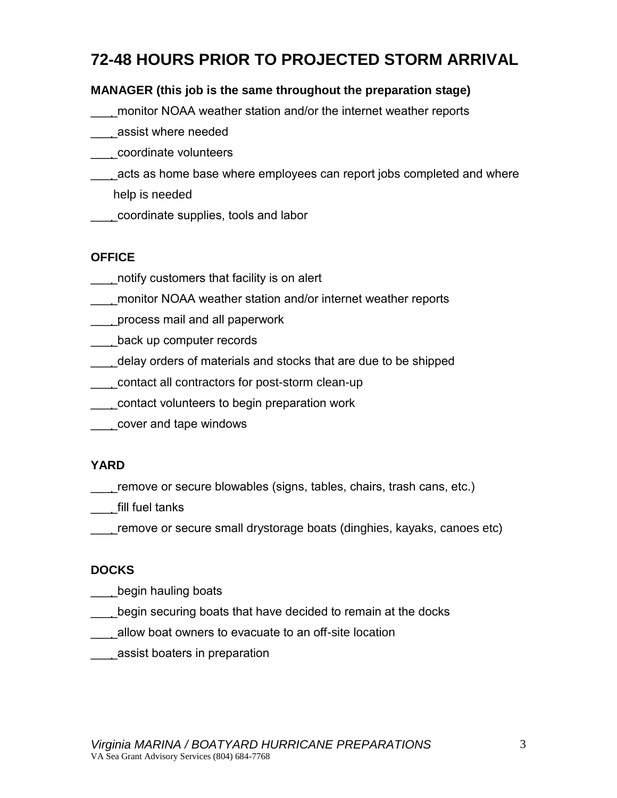# **72-48 HOURS PRIOR TO PROJECTED STORM ARRIVAL**

### **MANAGER (this job is the same throughout the preparation stage)**

- \_\_\_\_monitor NOAA weather station and/or the internet weather reports
- \_\_\_\_assist where needed
- \_\_\_\_coordinate volunteers
- \_\_\_\_acts as home base where employees can report jobs completed and where help is needed
- \_\_\_\_coordinate supplies, tools and labor

### **OFFICE**

- \_\_\_\_notify customers that facility is on alert
- \_\_\_\_monitor NOAA weather station and/or internet weather reports
- process mail and all paperwork
- \_\_\_\_back up computer records
- \_\_\_\_delay orders of materials and stocks that are due to be shipped
- \_\_\_\_contact all contractors for post-storm clean-up
- \_\_\_\_contact volunteers to begin preparation work
- \_\_\_\_cover and tape windows

### **YARD**

- \_\_\_\_remove or secure blowables (signs, tables, chairs, trash cans, etc.)
- \_\_\_\_fill fuel tanks
- remove or secure small drystorage boats (dinghies, kayaks, canoes etc)

### **DOCKS**

- \_\_\_\_\_begin hauling boats
- \_\_\_\_begin securing boats that have decided to remain at the docks
- \_\_\_\_allow boat owners to evacuate to an off-site location
- \_\_\_\_assist boaters in preparation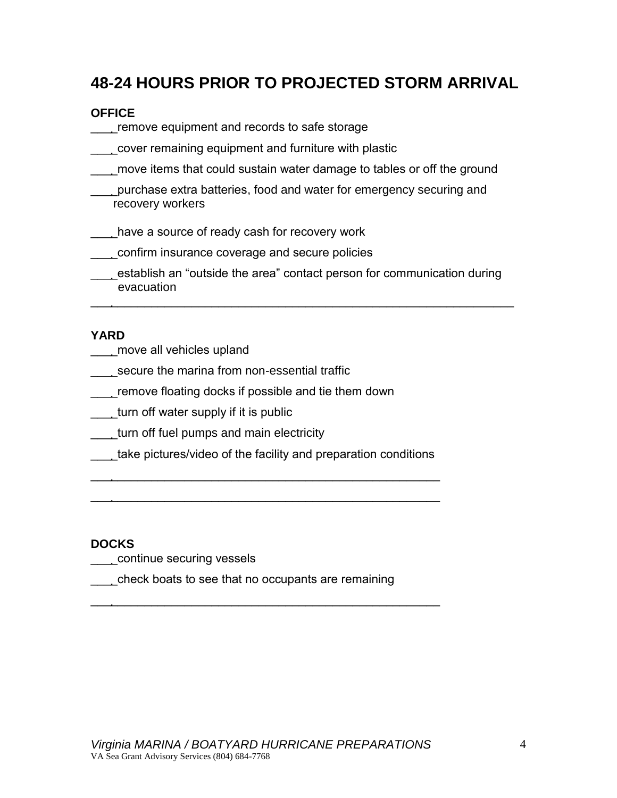## **48-24 HOURS PRIOR TO PROJECTED STORM ARRIVAL**

### **OFFICE**

- \_\_\_\_remove equipment and records to safe storage
- \_\_\_\_cover remaining equipment and furniture with plastic
- \_\_\_\_move items that could sustain water damage to tables or off the ground
- \_\_\_\_purchase extra batteries, food and water for emergency securing and recovery workers
- \_\_\_\_have a source of ready cash for recovery work
- \_\_\_\_confirm insurance coverage and secure policies
- \_\_\_\_establish an "outside the area" contact person for communication during evacuation

 $\overline{\phantom{a}}$  , and the contribution of the contribution of the contribution of the contribution of the contribution of the contribution of the contribution of the contribution of the contribution of the contribution of the

### **YARD**

- \_\_\_\_move all vehicles upland
- secure the marina from non-essential traffic
- \_\_\_\_remove floating docks if possible and tie them down
- \_\_\_\_turn off water supply if it is public
- \_\_\_\_turn off fuel pumps and main electricity
- \_\_\_\_take pictures/video of the facility and preparation conditions

 $\overline{\phantom{a}}$  , and the contract of the contract of the contract of the contract of the contract of the contract of the contract of the contract of the contract of the contract of the contract of the contract of the contrac

 $\overline{\phantom{a}}$  , and the contract of the contract of the contract of the contract of the contract of the contract of the contract of the contract of the contract of the contract of the contract of the contract of the contrac

 $\overline{\phantom{a}}$  , and the contract of the contract of the contract of the contract of the contract of the contract of the contract of the contract of the contract of the contract of the contract of the contract of the contrac

#### **DOCKS**

- \_\_\_\_continue securing vessels
- \_\_\_\_check boats to see that no occupants are remaining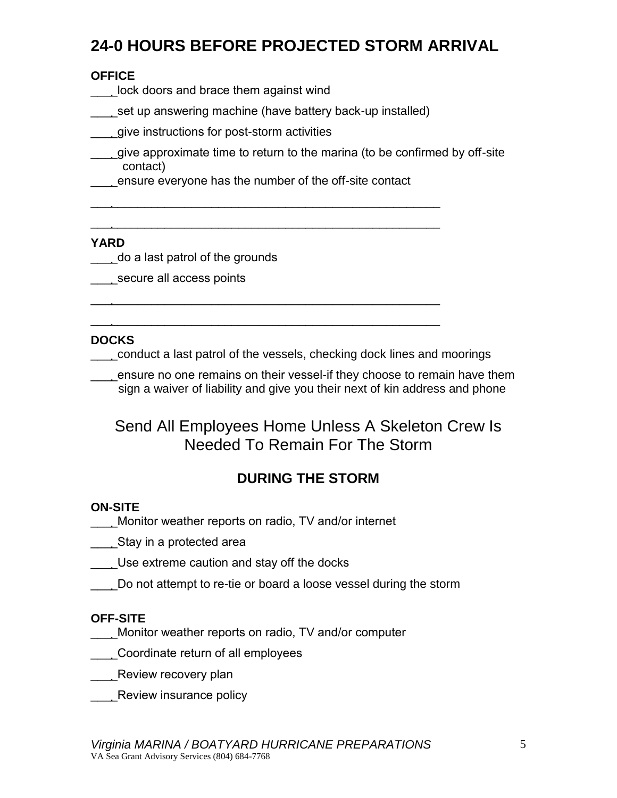# **24-0 HOURS BEFORE PROJECTED STORM ARRIVAL**

### **OFFICE**

- \_\_\_\_lock doors and brace them against wind
- set up answering machine (have battery back-up installed)
- **1.** give instructions for post-storm activities
- **\_\_\_\_give approximate time to return to the marina (to be confirmed by off-site** contact)
- \_\_\_\_ensure everyone has the number of the off-site contact

 $\frac{1}{2}$  ,  $\frac{1}{2}$  ,  $\frac{1}{2}$  ,  $\frac{1}{2}$  ,  $\frac{1}{2}$  ,  $\frac{1}{2}$  ,  $\frac{1}{2}$  ,  $\frac{1}{2}$  ,  $\frac{1}{2}$  ,  $\frac{1}{2}$  ,  $\frac{1}{2}$  ,  $\frac{1}{2}$  ,  $\frac{1}{2}$  ,  $\frac{1}{2}$  ,  $\frac{1}{2}$  ,  $\frac{1}{2}$  ,  $\frac{1}{2}$  ,  $\frac{1}{2}$  ,  $\frac{1$ 

 $\overline{\phantom{a}}$  , and the contract of the contract of the contract of the contract of the contract of the contract of the contract of the contract of the contract of the contract of the contract of the contract of the contrac

 $\overline{\phantom{a}}$  , and the contract of the contract of the contract of the contract of the contract of the contract of the contract of the contract of the contract of the contract of the contract of the contract of the contrac

 $\overline{\phantom{a}}$  , and the contract of the contract of the contract of the contract of the contract of the contract of the contract of the contract of the contract of the contract of the contract of the contract of the contrac

### **YARD**

- \_\_\_\_do a last patrol of the grounds
- secure all access points

### **DOCKS**

\_\_\_\_conduct a last patrol of the vessels, checking dock lines and moorings

\_\_\_\_ensure no one remains on their vessel-if they choose to remain have them sign a waiver of liability and give you their next of kin address and phone

## Send All Employees Home Unless A Skeleton Crew Is Needed To Remain For The Storm

## **DURING THE STORM**

### **ON-SITE**

- \_\_\_\_Monitor weather reports on radio, TV and/or internet
- \_\_\_\_Stay in a protected area
- Use extreme caution and stay off the docks
- Do not attempt to re-tie or board a loose vessel during the storm

### **OFF-SITE**

- \_\_\_\_Monitor weather reports on radio, TV and/or computer
- \_\_\_\_Coordinate return of all employees
- \_\_\_\_Review recovery plan
- **EXECUTE:** Review insurance policy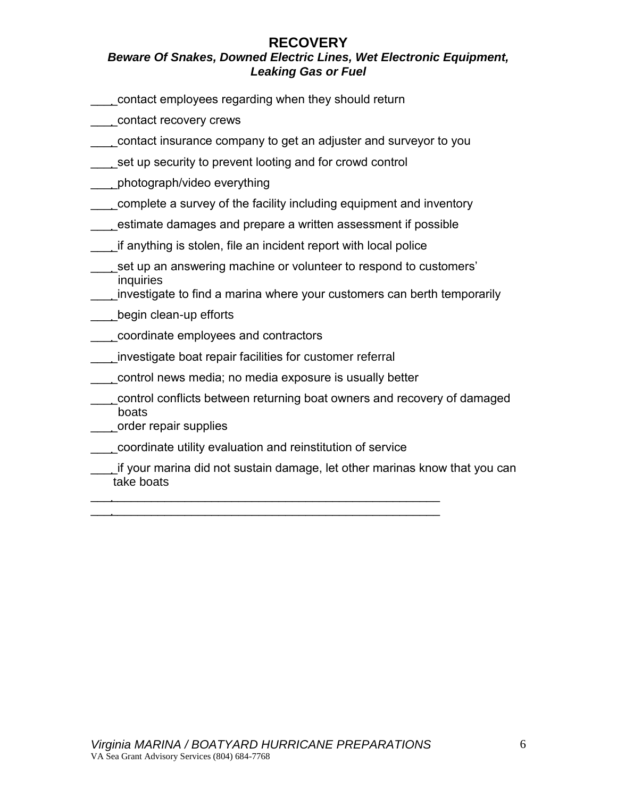# **RECOVERY**

### *Beware Of Snakes, Downed Electric Lines, Wet Electronic Equipment, Leaking Gas or Fuel*

- \_\_\_\_contact employees regarding when they should return
- \_\_\_\_contact recovery crews
- \_\_\_\_contact insurance company to get an adjuster and surveyor to you
- set up security to prevent looting and for crowd control
- \_\_\_\_photograph/video everything
- \_\_\_\_complete a survey of the facility including equipment and inventory
- \_\_\_\_estimate damages and prepare a written assessment if possible
- if anything is stolen, file an incident report with local police
- \_\_\_\_set up an answering machine or volunteer to respond to customers' inquiries
	- \_\_\_\_investigate to find a marina where your customers can berth temporarily
- **Lean-up efforts**
- \_\_\_\_coordinate employees and contractors
- \_\_\_\_investigate boat repair facilities for customer referral
- \_\_\_\_control news media; no media exposure is usually better
- \_\_\_\_control conflicts between returning boat owners and recovery of damaged boats
- \_\_\_\_order repair supplies
- \_\_\_\_coordinate utility evaluation and reinstitution of service

 $\overline{\phantom{a}}$  , and the contract of the contract of the contract of the contract of the contract of the contract of the contract of the contract of the contract of the contract of the contract of the contract of the contrac  $\overline{\phantom{a}}$  , and the contract of the contract of the contract of the contract of the contract of the contract of the contract of the contract of the contract of the contract of the contract of the contract of the contrac

\_\_\_\_if your marina did not sustain damage, let other marinas know that you can take boats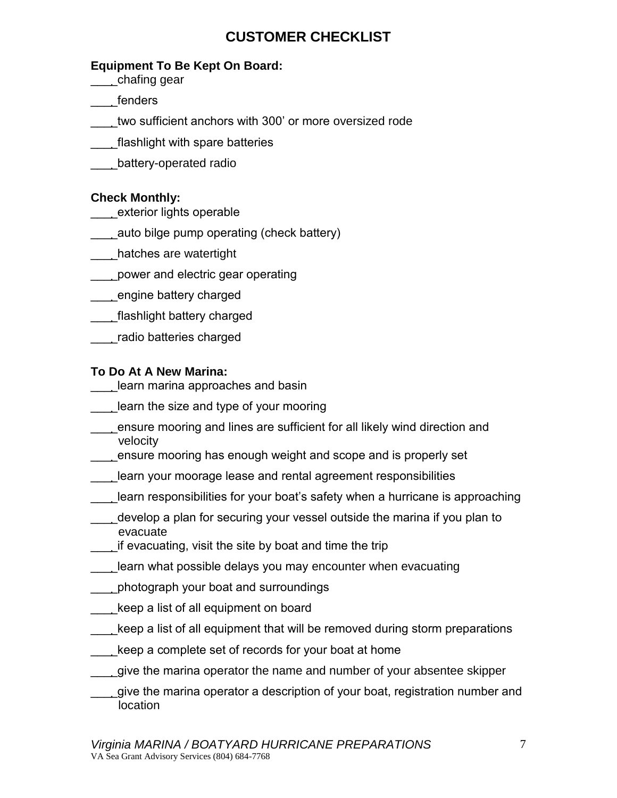## **CUSTOMER CHECKLIST**

### **Equipment To Be Kept On Board:**

- \_\_\_\_chafing gear
- \_\_\_\_fenders
- two sufficient anchors with 300' or more oversized rode
- \_\_\_\_flashlight with spare batteries
- \_\_\_\_battery-operated radio

### **Check Monthly:**

- \_\_\_\_exterior lights operable
- \_\_\_\_auto bilge pump operating (check battery)
- \_\_\_\_hatches are watertight
- \_\_\_\_power and electric gear operating
- \_\_\_\_engine battery charged
- \_\_\_\_flashlight battery charged
- \_\_\_\_radio batteries charged

### **To Do At A New Marina:**

- **Lace 2** learn marina approaches and basin
- learn the size and type of your mooring
- \_\_\_\_ensure mooring and lines are sufficient for all likely wind direction and velocity
- \_\_\_\_ensure mooring has enough weight and scope and is properly set
- \_\_\_\_learn your moorage lease and rental agreement responsibilities
- learn responsibilities for your boat's safety when a hurricane is approaching
- \_\_\_\_develop a plan for securing your vessel outside the marina if you plan to evacuate
- \_\_\_\_if evacuating, visit the site by boat and time the trip
- learn what possible delays you may encounter when evacuating
- \_\_\_\_photograph your boat and surroundings
- \_\_\_\_keep a list of all equipment on board
- \_\_\_\_keep a list of all equipment that will be removed during storm preparations
- keep a complete set of records for your boat at home
- \_\_\_\_give the marina operator the name and number of your absentee skipper
- \_\_\_\_give the marina operator a description of your boat, registration number and location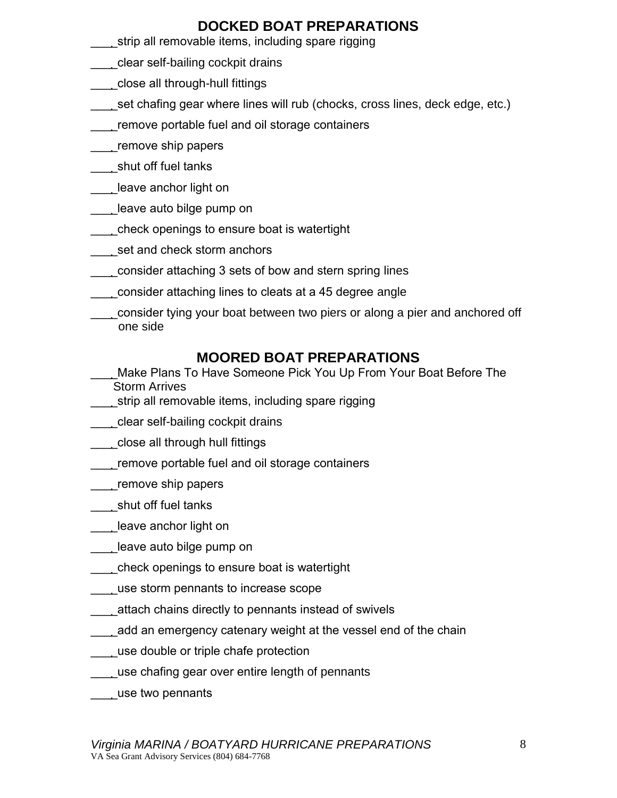### **DOCKED BOAT PREPARATIONS**

- strip all removable items, including spare rigging
- \_\_\_\_clear self-bailing cockpit drains
- \_\_\_\_close all through-hull fittings
- \_\_\_\_set chafing gear where lines will rub (chocks, cross lines, deck edge, etc.)
- \_\_\_\_remove portable fuel and oil storage containers
- \_\_\_\_remove ship papers
- \_\_\_\_shut off fuel tanks
- \_\_\_\_leave anchor light on
- \_\_\_\_leave auto bilge pump on
- \_\_\_\_check openings to ensure boat is watertight
- set and check storm anchors
- \_\_\_\_consider attaching 3 sets of bow and stern spring lines
- \_\_\_\_consider attaching lines to cleats at a 45 degree angle
- \_\_\_\_consider tying your boat between two piers or along a pier and anchored off one side

### **MOORED BOAT PREPARATIONS**

- Make Plans To Have Someone Pick You Up From Your Boat Before The Storm Arrives
- strip all removable items, including spare rigging
- \_\_\_\_clear self-bailing cockpit drains
- \_\_\_\_\_close all through hull fittings
- \_\_\_\_remove portable fuel and oil storage containers
- \_\_\_\_\_remove ship papers
- \_\_\_\_shut off fuel tanks
- **Leave anchor light on**
- leave auto bilge pump on
- \_\_\_\_check openings to ensure boat is watertight
- \_\_\_\_use storm pennants to increase scope
- \_\_\_\_attach chains directly to pennants instead of swivels
- \_\_\_\_add an emergency catenary weight at the vessel end of the chain
- **LETT** use double or triple chafe protection
- \_\_\_\_use chafing gear over entire length of pennants
- \_\_\_\_use two pennants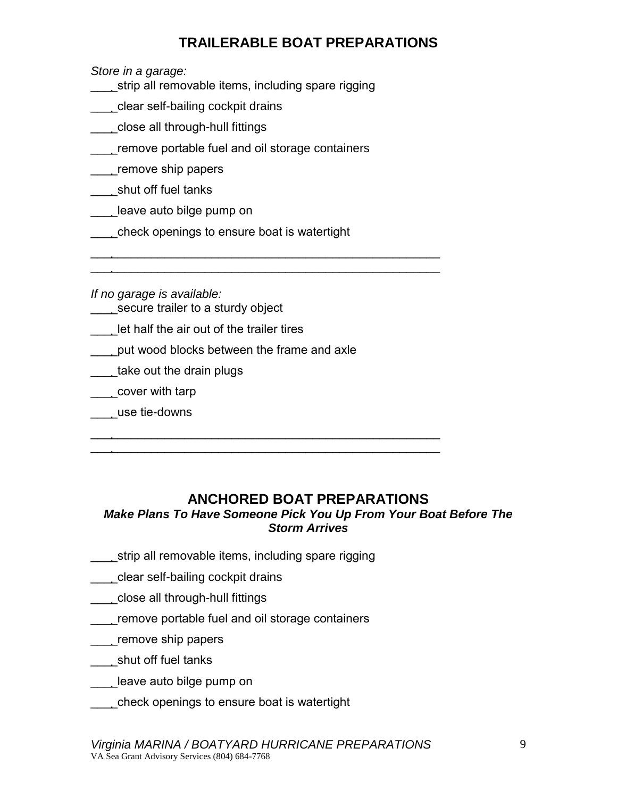## **TRAILERABLE BOAT PREPARATIONS**

*Store in a garage:*

- \_\_\_\_strip all removable items, including spare rigging
- \_\_\_\_clear self-bailing cockpit drains
- \_\_\_\_close all through-hull fittings
- \_\_\_\_remove portable fuel and oil storage containers
- \_\_\_\_remove ship papers
- \_\_\_\_shut off fuel tanks
- \_\_\_\_leave auto bilge pump on
- \_\_\_\_check openings to ensure boat is watertight

 $\overline{\phantom{a}}$  , and the contract of the contract of the contract of the contract of the contract of the contract of the contract of the contract of the contract of the contract of the contract of the contract of the contrac  $\overline{\phantom{a}}$  , and the contract of the contract of the contract of the contract of the contract of the contract of the contract of the contract of the contract of the contract of the contract of the contract of the contrac

\_\_\_\_\_\_\_\_\_\_\_\_\_\_\_\_\_\_\_\_\_\_\_\_\_\_\_\_\_\_\_\_\_\_\_\_\_\_\_\_\_\_\_\_\_\_\_\_\_\_\_\_  $\overline{\phantom{a}}$  , and the contract of the contract of the contract of the contract of the contract of the contract of the contract of the contract of the contract of the contract of the contract of the contract of the contrac

*If no garage is available:*

- secure trailer to a sturdy object
- let half the air out of the trailer tires
- \_\_\_\_put wood blocks between the frame and axle
- \_\_\_\_take out the drain plugs
- \_\_\_\_cover with tarp
- \_\_\_\_use tie-downs

### **ANCHORED BOAT PREPARATIONS**

### *Make Plans To Have Someone Pick You Up From Your Boat Before The Storm Arrives*

- strip all removable items, including spare rigging
- \_\_\_\_clear self-bailing cockpit drains
- \_\_\_\_close all through-hull fittings
- \_\_\_\_remove portable fuel and oil storage containers
- \_\_\_\_remove ship papers
- \_\_\_\_shut off fuel tanks
- \_\_\_\_leave auto bilge pump on
- \_\_\_\_check openings to ensure boat is watertight